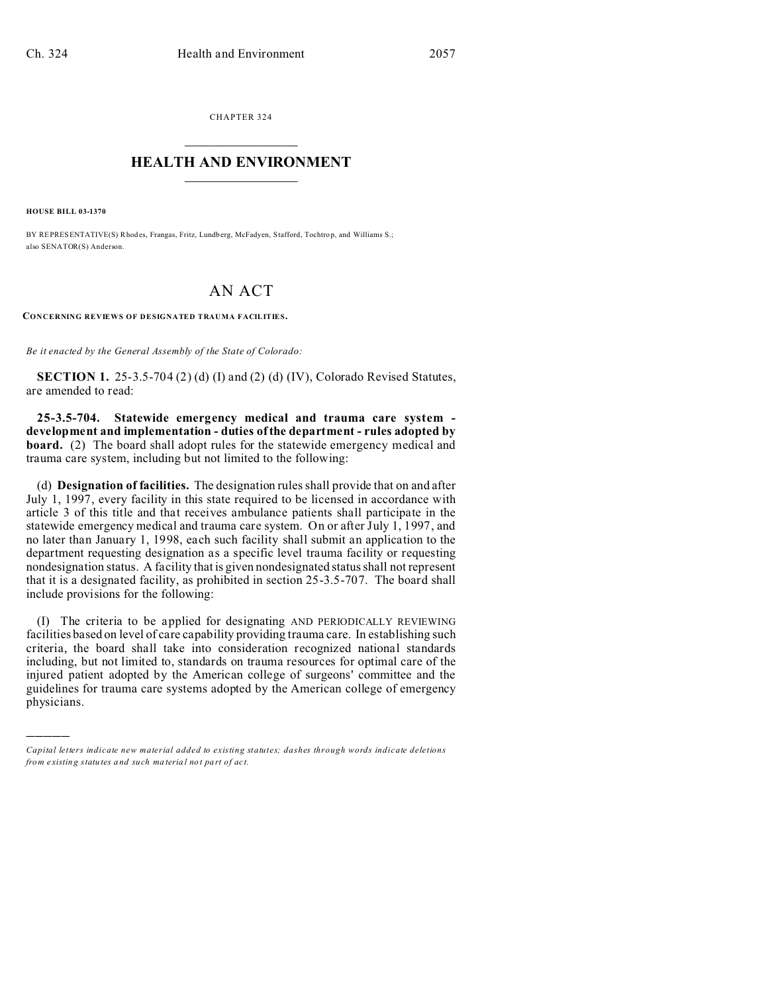CHAPTER 324  $\overline{\phantom{a}}$  , where  $\overline{\phantom{a}}$ 

## **HEALTH AND ENVIRONMENT**  $\_$   $\_$   $\_$   $\_$   $\_$   $\_$   $\_$   $\_$

**HOUSE BILL 03-1370**

)))))

BY REPRESENTATIVE(S) Rhodes, Frangas, Fritz, Lundberg, McFadyen, Stafford, Tochtrop, and Williams S.; also SENATOR(S) Anderson.

## AN ACT

**CONCERNING REVIEWS OF DESIGNATED TRAUMA FACILITIES.**

*Be it enacted by the General Assembly of the State of Colorado:*

**SECTION 1.** 25-3.5-704 (2) (d) (I) and (2) (d) (IV), Colorado Revised Statutes, are amended to read:

**25-3.5-704. Statewide emergency medical and trauma care system development and implementation - duties of the department - rules adopted by board.** (2) The board shall adopt rules for the statewide emergency medical and trauma care system, including but not limited to the following:

(d) **Designation of facilities.** The designation rules shall provide that on and after July 1, 1997, every facility in this state required to be licensed in accordance with article 3 of this title and that receives ambulance patients shall participate in the statewide emergency medical and trauma care system. On or after July 1, 1997, and no later than January 1, 1998, each such facility shall submit an application to the department requesting designation as a specific level trauma facility or requesting nondesignation status. A facility that is given nondesignated status shall not represent that it is a designated facility, as prohibited in section 25-3.5-707. The board shall include provisions for the following:

(I) The criteria to be applied for designating AND PERIODICALLY REVIEWING facilities based on level of care capability providing trauma care. In establishing such criteria, the board shall take into consideration recognized national standards including, but not limited to, standards on trauma resources for optimal care of the injured patient adopted by the American college of surgeons' committee and the guidelines for trauma care systems adopted by the American college of emergency physicians.

*Capital letters indicate new material added to existing statutes; dashes through words indicate deletions from e xistin g statu tes a nd such ma teria l no t pa rt of ac t.*